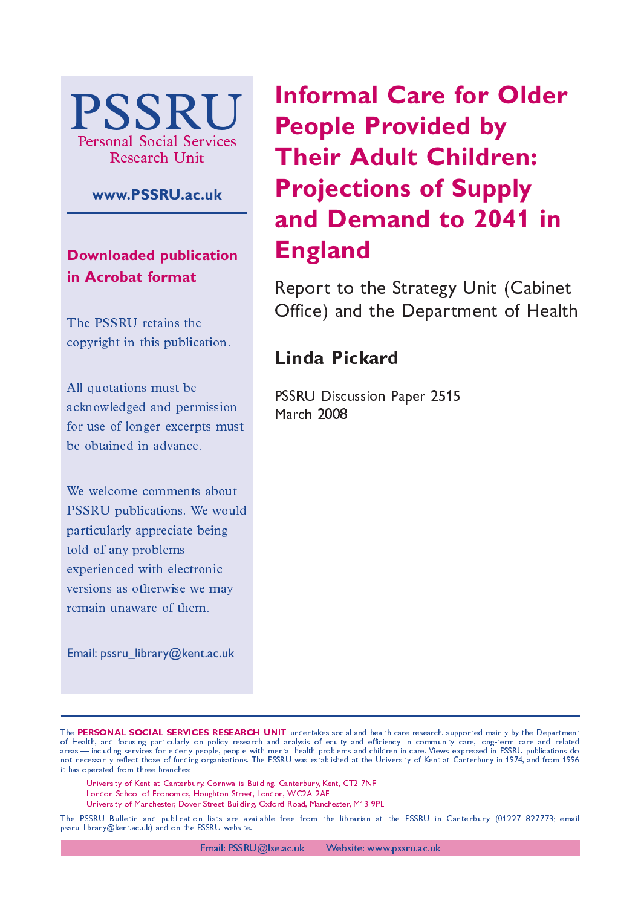

### **www.PSSRU.ac.uk**

**Downloaded publication in Acrobat format**

The PSSRU retains the copyright in this publication.

All quotations must be acknowledged and permission for use of longer excerpts must be obtained in advance.

We welcome comments about PSSRU publications. We would particularly appreciate being told of any problems experienced with electronic versions as otherwise we may remain unaware of them.

Email: pssru\_library@kent.ac.uk

# **Informal Care for Older People Provided by Their Adult Children: Projections of Supply and Demand to 2041 in England**

Report to the Strategy Unit (Cabinet Office) and the Department of Health

## Linda Pickard

PSSRU Discussion Paper 2515 **March 2008** 

- University of Kent at Canterbury, Cornwallis Building, Canterbury, Kent, CT2 7NF
- London School of Economics, Houghton Street, London, WC2A 2AE
- University of Manchester, Dover Street Building, Oxford Road, Manchester, M13-9PL

The PSSRU Bulletin and publication lists are available free from the librarian at the PSSRU in Canterbury (01227–827773; email pssru\_library@kent.ac.uk) and on the PSSRU website.

The PERSONAL SOCIAL SERVICES RESEARCH UNIT undertakes social and health care research, supported mainly by the Department of Health, and focusing particularly on policy research and analysis of equity and efficiency in community care, long-term care and related areas—including services for elderly people, people with mental health problems and children in care. Views expressed in PSSRU publications do not necessarily reflect those of funding organisations. The PSSRU was established at the University of Kent at Canterbury in 1974, and from 1996 it has operated from three branches: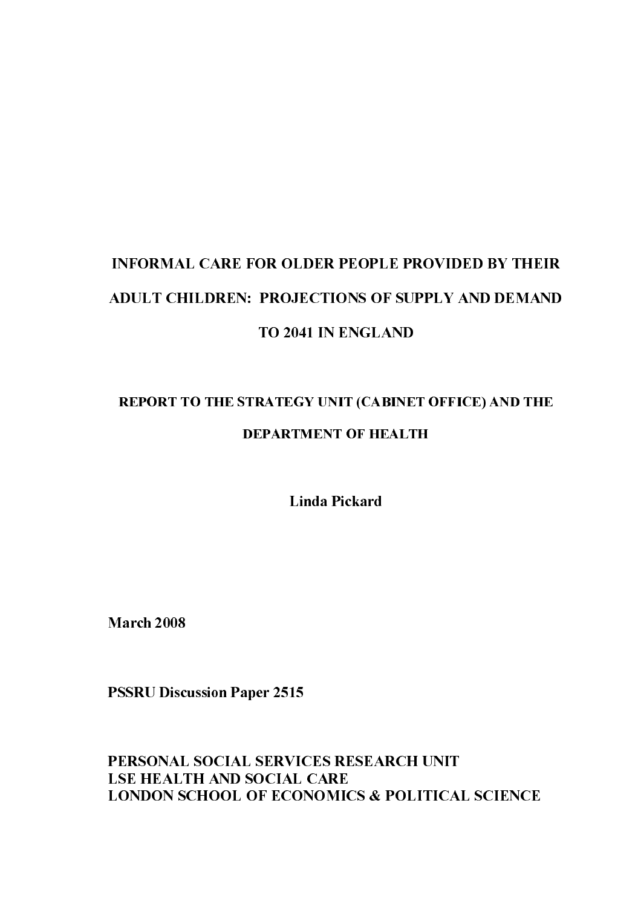# LNFORMAL CARE FOR OLDER PEOPLE PROVIDED BY THE<br>ADULT CHILDREN: PROJECTIONS OF SUPPLY AND DEMAI<br>TO 2041 IN ENGLAND<br>REPORT TO THE STRATEGY UNIT (CABINET OFFICE) AND TH<br>DEPARTMENT OF HEALTH<br>Linda Pickard<br>March 2008<br>PSSRU Disc **INFORMAL CARE FOR OLDER PEOPLE PROVIDED BY THEIR ADULT CHILDREN: PROJECTIONS OF SUPPLY AND DEMAND TO 2041 IN ENGLAND**

# REPORT TO THE STRATEGY UNIT (CABINET OFFICE) AND THE DEPARTMENT OF HEALTH

Linda Pickard

**March 2008** 

**PSSRU Discussion Paper 2515** 

### PERSONAL SOCIAL SERVICES RESEARCH UNIT **LSE HEALTH AND SOCIAL CARE LONDON SCHOOL OF ECONOMICS & POLITICAL SCIENCE**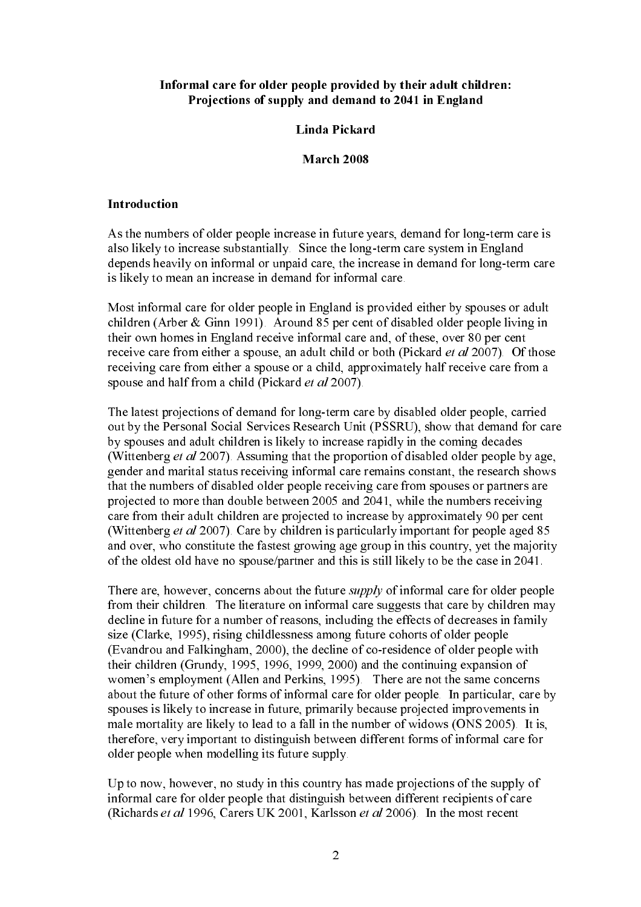### Informal care for older people provided by their adult children: Projections of supply and demand to 2041 in England

### Linda Pickard

### March 2008

### Introduction

As the numbers of older people increase in future years, demand for long-term care is also likely to increase substantially. Since the long-term care system in England depends heavily on informal or unpaid care, the increase in demand for long-term care is likely to mean an increase in demand for informal care.

Most informal care for older people in England is provided either by spouses or adult children (Arber & Ginn 1991). Around 85 per cent of disabled older people living in their own homes in England receive informal care and, of these, over 80 per cent receive care from either a spouse, an adult child or both (Pickard *et al* 2007). Of those receiving care from either a spouse or a child, approximately half receive care from a spouse and half from a child (Pickard et al 2007).

The latest projections of demand for long-term care by disabled older people, carried out by the Personal Social Services Research Unit (PSSRU), show that demand for care by spouses and adult children is likely to increase rapidly in the coming decades (Wittenberg *et al* 2007). Assuming that the proportion of disabled older people by age, gender and marital status receiving informal care remains constant, the research shows that the numbers of disabled older people receiving care from spouses or partners are projected to more than double between 2005 and 2041, while the numbers receiving care from their adult children are projected to increase by approximately 90 per cent (Wittenberg *et al* 2007). Care by children is particularly important for people aged 85 and over, who constitute the fastest growing age group in this country, yet the majority of the oldest old have no spouse/partner and this is still likely to be the case in 2041.

There are, however, concerns about the future *supply* of informal care for older people from their children. The literature on informal care suggests that care by children may decline in future for a number of reasons, including the effects of decreases in family size (Clarke, 1995), rising childlessness among future cohorts of older people (Evandrou and Falkingham, 2000), the decline of co-residence of older people with their children (Grundy, 1995, 1996, 1999, 2000) and the continuing expansion of women's employment (Allen and Perkins, 1995). There are not the same concerns about the future of other forms of informal care for older people. In particular, care by spouses is likely to increase in future, primarily because projected improvements in male mortality are likely to lead to a fall in the number of widows (ONS 2005). It is, therefore, very important to distinguish between different forms of informal care for older people when modelling its future supply.

Up to now, however, no study in this country has made projections of the supply of informal care for older people that distinguish between different recipients of care (Richards et al 1996, Carers UK 2001, Karlsson et al 2006). In the most recent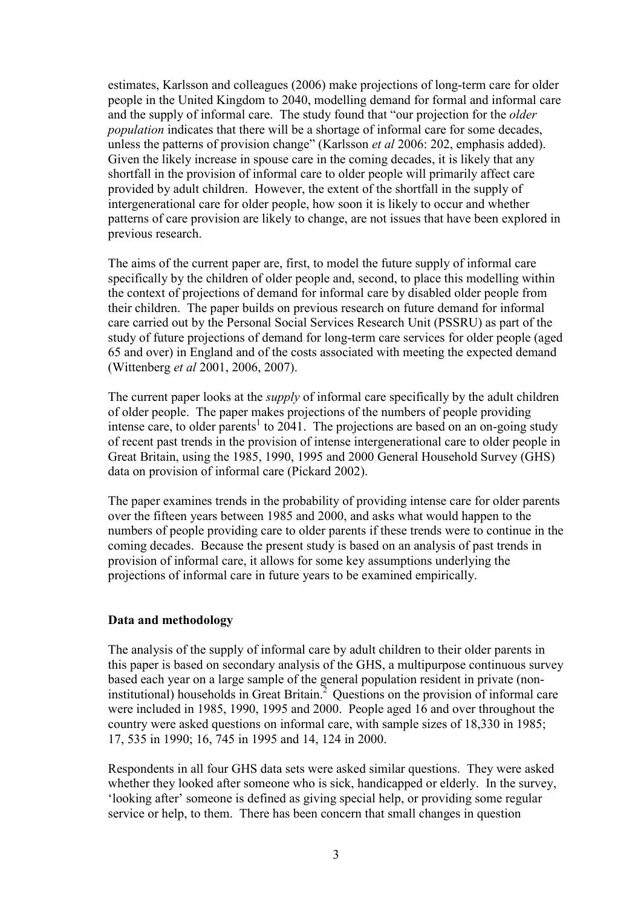estimates, Karlsson and colleagues (2006) make projections of long-term care for older people in the United Kingdom to 2040, modelling demand for formal and informal care and the supply of informal care. The study found that "our projection for the *older population* indicates that there will be a shortage of informal care for some decades, unless the patterns of provision change" (Karlsson *et al* 2006: 202, emphasis added). Given the likely increase in spouse care in the coming decades, it is likely that any shortfall in the provision of informal care to older people will primarily affect care provided by adult children. However, the extent of the shortfall in the supply of intergenerational care for older people, how soon it is likely to occur and whether patterns of care provision are likely to change, are not issues that have been explored in previous research.

The aims of the current paper are, first, to model the future supply of informal care specifically by the children of older people and, second, to place this modelling within the context of projections of demand for informal care by disabled older people from their children. The paper builds on previous research on future demand for informal care carried out by the Personal Social Services Research Unit (PSSRU) as part of the study of future projections of demand for long-term care services for older people (aged 65 and over) in England and of the costs associated with meeting the expected demand (Wittenberg *et al* 2001, 2006, 2007).

The current paper looks at the *supply* of informal care specifically by the adult children of older people. The paper makes projections of the numbers of people providing intense care, to older parents<sup>1</sup> to 2041. The projections are based on an on-going study of recent past trends in the provision of intense intergenerational care to older people in Great Britain, using the 1985, 1990, 1995 and 2000 General Household Survey (GHS) data on provision of informal care (Pickard 2002).

The paper examines trends in the probability of providing intense care for older parents over the fifteen years between 1985 and 2000, and asks what would happen to the numbers of people providing care to older parents if these trends were to continue in the coming decades. Because the present study is based on an analysis of past trends in provision of informal care, it allows for some key assumptions underlying the projections of informal care in future years to be examined empirically.

### **Data and methodology**

The analysis of the supply of informal care by adult children to their older parents in this paper is based on secondary analysis of the GHS, a multipurpose continuous survey based each year on a large sample of the general population resident in private (noninstitutional) households in Great Britain.<sup>2</sup> Questions on the provision of informal care were included in 1985, 1990, 1995 and 2000. People aged 16 and over throughout the country were asked questions on informal care, with sample sizes of 18,330 in 1985; 17, 535 in 1990; 16, 745 in 1995 and 14, 124 in 2000.

Respondents in all four GHS data sets were asked similar questions. They were asked whether they looked after someone who is sick, handicapped or elderly. In the survey, 'looking after' someone is defined as giving special help, or providing some regular service or help, to them. There has been concern that small changes in question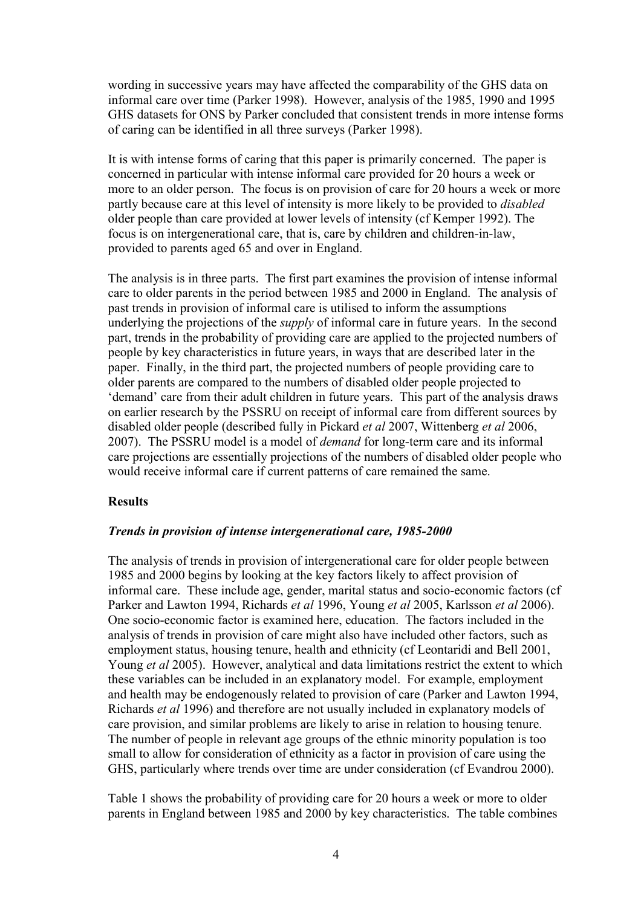wording in successive years may have affected the comparability of the GHS data on informal care over time (Parker 1998). However, analysis of the 1985, 1990 and 1995 GHS datasets for ONS by Parker concluded that consistent trends in more intense forms of caring can be identified in all three surveys (Parker 1998).

It is with intense forms of caring that this paper is primarily concerned. The paper is concerned in particular with intense informal care provided for 20 hours a week or more to an older person. The focus is on provision of care for 20 hours a week or more partly because care at this level of intensity is more likely to be provided to *disabled*  older people than care provided at lower levels of intensity (cf Kemper 1992). The focus is on intergenerational care, that is, care by children and children-in-law, provided to parents aged 65 and over in England.

The analysis is in three parts. The first part examines the provision of intense informal care to older parents in the period between 1985 and 2000 in England. The analysis of past trends in provision of informal care is utilised to inform the assumptions underlying the projections of the *supply* of informal care in future years. In the second part, trends in the probability of providing care are applied to the projected numbers of people by key characteristics in future years, in ways that are described later in the paper. Finally, in the third part, the projected numbers of people providing care to older parents are compared to the numbers of disabled older people projected to 'demand' care from their adult children in future years. This part of the analysis draws on earlier research by the PSSRU on receipt of informal care from different sources by disabled older people (described fully in Pickard *et al* 2007, Wittenberg *et al* 2006, 2007). The PSSRU model is a model of *demand* for long-term care and its informal care projections are essentially projections of the numbers of disabled older people who would receive informal care if current patterns of care remained the same.

### **Results**

### *Trends in provision of intense intergenerational care, 1985-2000*

The analysis of trends in provision of intergenerational care for older people between 1985 and 2000 begins by looking at the key factors likely to affect provision of informal care. These include age, gender, marital status and socio-economic factors (cf Parker and Lawton 1994, Richards *et al* 1996, Young *et al* 2005, Karlsson *et al* 2006). One socio-economic factor is examined here, education. The factors included in the analysis of trends in provision of care might also have included other factors, such as employment status, housing tenure, health and ethnicity (cf Leontaridi and Bell 2001, Young *et al* 2005). However, analytical and data limitations restrict the extent to which these variables can be included in an explanatory model. For example, employment and health may be endogenously related to provision of care (Parker and Lawton 1994, Richards *et al* 1996) and therefore are not usually included in explanatory models of care provision, and similar problems are likely to arise in relation to housing tenure. The number of people in relevant age groups of the ethnic minority population is too small to allow for consideration of ethnicity as a factor in provision of care using the GHS, particularly where trends over time are under consideration (cf Evandrou 2000).

Table 1 shows the probability of providing care for 20 hours a week or more to older parents in England between 1985 and 2000 by key characteristics. The table combines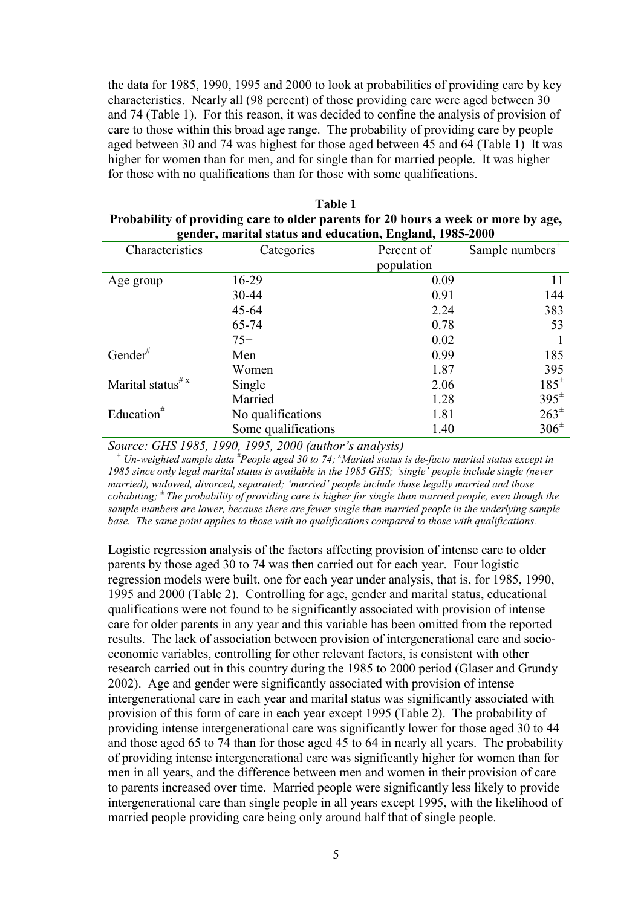the data for 1985, 1990, 1995 and 2000 to look at probabilities of providing care by key characteristics. Nearly all (98 percent) of those providing care were aged between 30 and 74 (Table 1). For this reason, it was decided to confine the analysis of provision of care to those within this broad age range. The probability of providing care by people aged between 30 and 74 was highest for those aged between 45 and 64 (Table 1) It was higher for women than for men, and for single than for married people. It was higher for those with no qualifications than for those with some qualifications.

| Table 1                                                                            |
|------------------------------------------------------------------------------------|
| Probability of providing care to older parents for 20 hours a week or more by age, |
| gender, marital status and education, England, 1985-2000                           |

| Characteristics              | Categories          | .,<br>Percent of | Sample numbers <sup><math>+</math></sup> |  |
|------------------------------|---------------------|------------------|------------------------------------------|--|
|                              |                     | population       |                                          |  |
| Age group                    | 16-29               | 0.09             | 11                                       |  |
|                              | 30-44               | 0.91             | 144                                      |  |
|                              | $45 - 64$           | 2.24             | 383                                      |  |
|                              | 65-74               | 0.78             | 53                                       |  |
|                              | $75+$               | 0.02             |                                          |  |
| Gender#                      | Men                 | 0.99             | 185                                      |  |
|                              | Women               | 1.87             | 395                                      |  |
| Marital status <sup>#x</sup> | Single              | 2.06             | $185^{\pm}$                              |  |
|                              | Married             | 1.28             | $395^{\pm}$                              |  |
| Education <sup>#</sup>       | No qualifications   | 1.81             | $263^{\pm}$                              |  |
|                              | Some qualifications | 1.40             | $306^{\pm}$                              |  |

*Source: GHS 1985, 1990, 1995, 2000 (author's analysis) + Un-weighted sample data # People aged 30 to 74; <sup>x</sup> Marital status is de-facto marital status except in 1985 since only legal marital status is available in the 1985 GHS; 'single' people include single (never married), widowed, divorced, separated; 'married' people include those legally married and those cohabiting;* <sup>±</sup> *The probability of providing care is higher for single than married people, even though the sample numbers are lower, because there are fewer single than married people in the underlying sample base. The same point applies to those with no qualifications compared to those with qualifications.* 

Logistic regression analysis of the factors affecting provision of intense care to older parents by those aged 30 to 74 was then carried out for each year. Four logistic regression models were built, one for each year under analysis, that is, for 1985, 1990, 1995 and 2000 (Table 2). Controlling for age, gender and marital status, educational qualifications were not found to be significantly associated with provision of intense care for older parents in any year and this variable has been omitted from the reported results. The lack of association between provision of intergenerational care and socioeconomic variables, controlling for other relevant factors, is consistent with other research carried out in this country during the 1985 to 2000 period (Glaser and Grundy 2002). Age and gender were significantly associated with provision of intense intergenerational care in each year and marital status was significantly associated with provision of this form of care in each year except 1995 (Table 2). The probability of providing intense intergenerational care was significantly lower for those aged 30 to 44 and those aged 65 to 74 than for those aged 45 to 64 in nearly all years. The probability of providing intense intergenerational care was significantly higher for women than for men in all years, and the difference between men and women in their provision of care to parents increased over time. Married people were significantly less likely to provide intergenerational care than single people in all years except 1995, with the likelihood of married people providing care being only around half that of single people.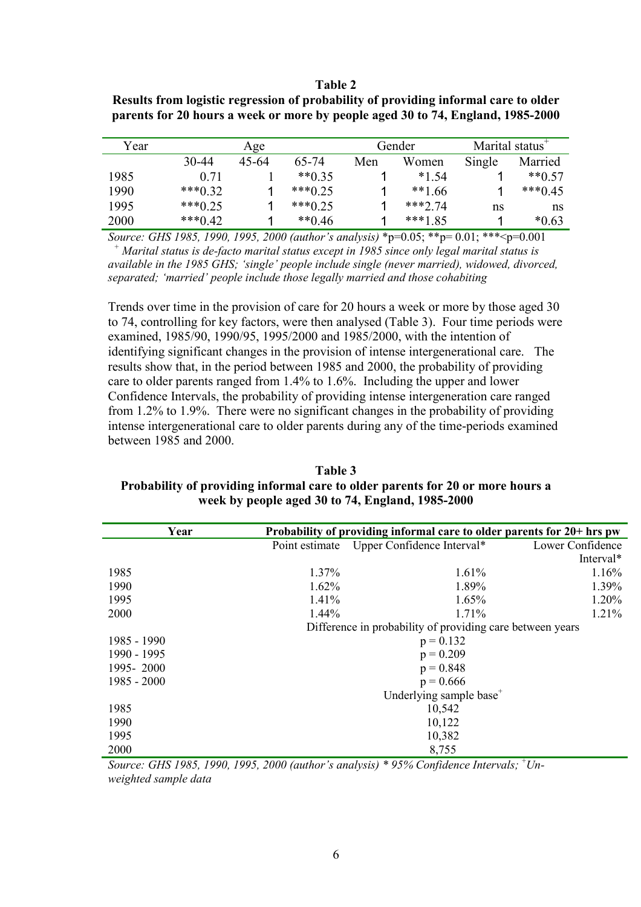### **Table 2**

| Results from logistic regression of probability of providing informal care to older |
|-------------------------------------------------------------------------------------|
| parents for 20 hours a week or more by people aged 30 to 74, England, 1985-2000     |

| Year |            | Age   |            |     | Gender   | Marital status <sup>+</sup> |           |  |
|------|------------|-------|------------|-----|----------|-----------------------------|-----------|--|
|      | 30-44      | 45-64 | 65-74      | Men | Women    | Single                      | Married   |  |
| 1985 | 0.71       |       | $**0.35$   |     | $*154$   |                             | $**0.57$  |  |
| 1990 | *** $0.32$ |       | $***0.25$  |     | $**166$  |                             | $***0.45$ |  |
| 1995 | *** $0.25$ |       | *** $0.25$ |     | $***274$ | ns                          | 'ns       |  |
| 2000 | *** $0.42$ |       | $**0.46$   |     | ***1.85  |                             | $*0.63$   |  |

*Source: GHS 1985, 1990, 1995, 2000 (author's analysis)* \*p=0.05; \*\*p= 0.01; \*\*\*<p=0.001 *<sup>+</sup> Marital status is de-facto marital status except in 1985 since only legal marital status is available in the 1985 GHS; 'single' people include single (never married), widowed, divorced, separated; 'married' people include those legally married and those cohabiting* 

Trends over time in the provision of care for 20 hours a week or more by those aged 30 to 74, controlling for key factors, were then analysed (Table 3). Four time periods were examined, 1985/90, 1990/95, 1995/2000 and 1985/2000, with the intention of identifying significant changes in the provision of intense intergenerational care. The results show that, in the period between 1985 and 2000, the probability of providing care to older parents ranged from 1.4% to 1.6%. Including the upper and lower Confidence Intervals, the probability of providing intense intergeneration care ranged from 1.2% to 1.9%. There were no significant changes in the probability of providing intense intergenerational care to older parents during any of the time-periods examined between 1985 and 2000.

### **Table 3 Probability of providing informal care to older parents for 20 or more hours a week by people aged 30 to 74, England, 1985-2000**

| Year          |       | Probability of providing informal care to older parents for 20+ hrs pw |                  |
|---------------|-------|------------------------------------------------------------------------|------------------|
|               |       | Point estimate Upper Confidence Interval*                              | Lower Confidence |
|               |       |                                                                        | Interval*        |
| 1985          | 1.37% | 1.61%                                                                  | 1.16%            |
| 1990          | 1.62% | 1.89%                                                                  | 1.39%            |
| 1995          | 1.41% | 1.65%                                                                  | 1.20%            |
| 2000          | 1.44% | 1.71%                                                                  | 1.21%            |
|               |       | Difference in probability of providing care between years              |                  |
| 1985 - 1990   |       | $p = 0.132$                                                            |                  |
| 1990 - 1995   |       | $p = 0.209$                                                            |                  |
| 1995-2000     |       | $p = 0.848$                                                            |                  |
| $1985 - 2000$ |       | $p = 0.666$                                                            |                  |
|               |       | Underlying sample base <sup>+</sup>                                    |                  |
| 1985          |       | 10,542                                                                 |                  |
| 1990          |       | 10,122                                                                 |                  |
| 1995          |       | 10,382                                                                 |                  |
| 2000          |       | 8,755                                                                  |                  |

*Source: GHS 1985, 1990, 1995, 2000 (author's analysis) \* 95% Confidence Intervals;* <sup>+</sup> *Unweighted sample data*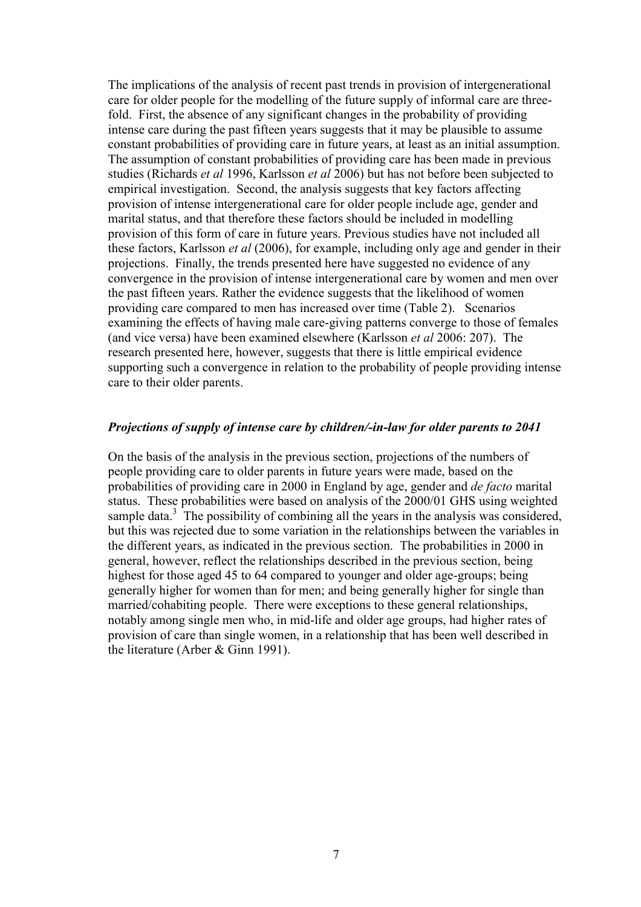The implications of the analysis of recent past trends in provision of intergenerational care for older people for the modelling of the future supply of informal care are threefold. First, the absence of any significant changes in the probability of providing intense care during the past fifteen years suggests that it may be plausible to assume constant probabilities of providing care in future years, at least as an initial assumption. The assumption of constant probabilities of providing care has been made in previous studies (Richards *et al* 1996, Karlsson *et al* 2006) but has not before been subjected to empirical investigation. Second, the analysis suggests that key factors affecting provision of intense intergenerational care for older people include age, gender and marital status, and that therefore these factors should be included in modelling provision of this form of care in future years. Previous studies have not included all these factors, Karlsson *et al* (2006), for example, including only age and gender in their projections. Finally, the trends presented here have suggested no evidence of any convergence in the provision of intense intergenerational care by women and men over the past fifteen years. Rather the evidence suggests that the likelihood of women providing care compared to men has increased over time (Table 2). Scenarios examining the effects of having male care-giving patterns converge to those of females (and vice versa) have been examined elsewhere (Karlsson *et al* 2006: 207). The research presented here, however, suggests that there is little empirical evidence supporting such a convergence in relation to the probability of people providing intense care to their older parents.

### *Projections of supply of intense care by children/-in-law for older parents to 2041*

On the basis of the analysis in the previous section, projections of the numbers of people providing care to older parents in future years were made, based on the probabilities of providing care in 2000 in England by age, gender and *de facto* marital status. These probabilities were based on analysis of the 2000/01 GHS using weighted sample data. $3$  The possibility of combining all the years in the analysis was considered, but this was rejected due to some variation in the relationships between the variables in the different years, as indicated in the previous section. The probabilities in 2000 in general, however, reflect the relationships described in the previous section, being highest for those aged 45 to 64 compared to younger and older age-groups; being generally higher for women than for men; and being generally higher for single than married/cohabiting people. There were exceptions to these general relationships, notably among single men who, in mid-life and older age groups, had higher rates of provision of care than single women, in a relationship that has been well described in the literature (Arber & Ginn 1991).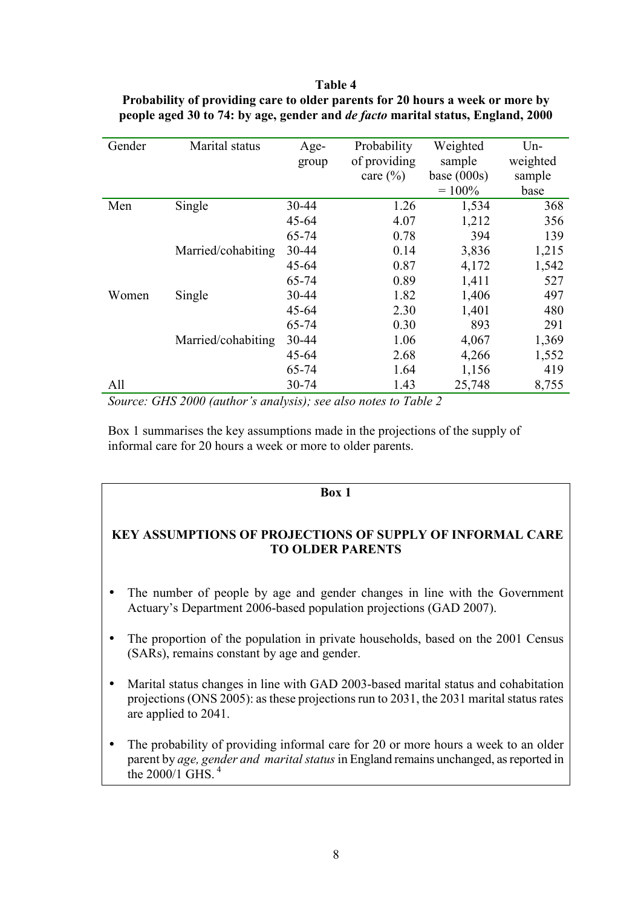**Table 4 Probability of providing care to older parents for 20 hours a week or more by people aged 30 to 74: by age, gender and** *de facto* **marital status, England, 2000** 

| Gender | Marital status     | Age-      | Probability  | Weighted      | $Un-$    |
|--------|--------------------|-----------|--------------|---------------|----------|
|        |                    | group     | of providing | sample        | weighted |
|        |                    |           | care $(\% )$ | base $(000s)$ | sample   |
|        |                    |           |              | $= 100\%$     | base     |
| Men    | Single             | 30-44     | 1.26         | 1,534         | 368      |
|        |                    | $45 - 64$ | 4.07         | 1,212         | 356      |
|        |                    | 65-74     | 0.78         | 394           | 139      |
|        | Married/cohabiting | 30-44     | 0.14         | 3,836         | 1,215    |
|        |                    | $45 - 64$ | 0.87         | 4,172         | 1,542    |
|        |                    | 65-74     | 0.89         | 1,411         | 527      |
| Women  | Single             | 30-44     | 1.82         | 1,406         | 497      |
|        |                    | $45 - 64$ | 2.30         | 1,401         | 480      |
|        |                    | 65-74     | 0.30         | 893           | 291      |
|        | Married/cohabiting | 30-44     | 1.06         | 4,067         | 1,369    |
|        |                    | $45 - 64$ | 2.68         | 4,266         | 1,552    |
|        |                    | 65-74     | 1.64         | 1,156         | 419      |
| All    |                    | 30-74     | 1.43         | 25,748        | 8,755    |

*Source: GHS 2000 (author's analysis); see also notes to Table 2* 

Box 1 summarises the key assumptions made in the projections of the supply of informal care for 20 hours a week or more to older parents.

### **Box 1**

### **KEY ASSUMPTIONS OF PROJECTIONS OF SUPPLY OF INFORMAL CARE TO OLDER PARENTS**

- The number of people by age and gender changes in line with the Government Actuary's Department 2006-based population projections (GAD 2007).
- The proportion of the population in private households, based on the 2001 Census (SARs), remains constant by age and gender.
- Marital status changes in line with GAD 2003-based marital status and cohabitation projections (ONS 2005): as these projections run to 2031, the 2031 marital status rates are applied to 2041.
- The probability of providing informal care for 20 or more hours a week to an older parent by *age, gender and marital status* in England remains unchanged, as reported in the  $2000/1$  GHS  $<sup>4</sup>$ </sup>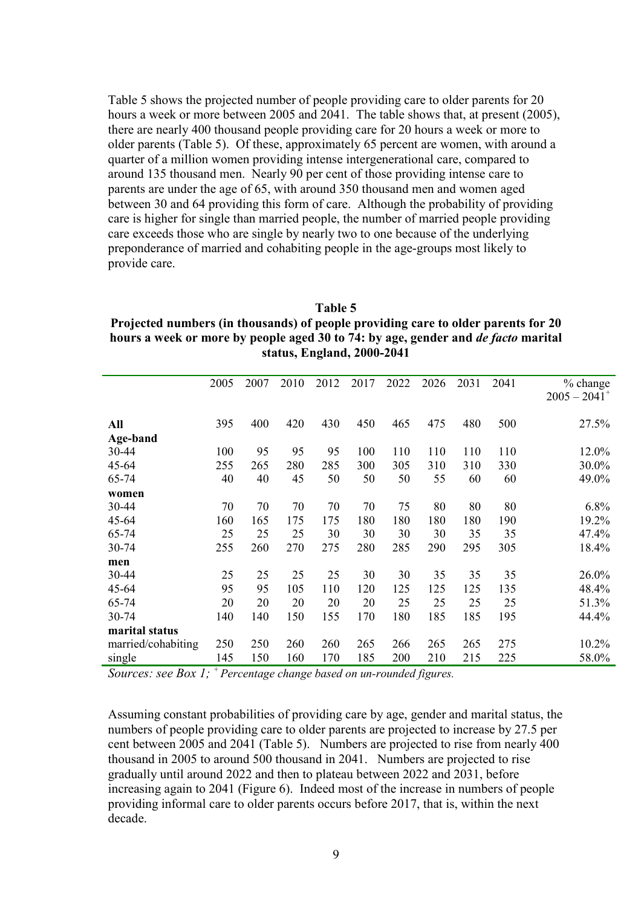Table 5 shows the projected number of people providing care to older parents for 20 hours a week or more between 2005 and 2041. The table shows that, at present (2005), there are nearly 400 thousand people providing care for 20 hours a week or more to older parents (Table 5). Of these, approximately 65 percent are women, with around a quarter of a million women providing intense intergenerational care, compared to around 135 thousand men. Nearly 90 per cent of those providing intense care to parents are under the age of 65, with around 350 thousand men and women aged between 30 and 64 providing this form of care. Although the probability of providing care is higher for single than married people, the number of married people providing care exceeds those who are single by nearly two to one because of the underlying preponderance of married and cohabiting people in the age-groups most likely to provide care.

**Table 5 Projected numbers (in thousands) of people providing care to older parents for 20 hours a week or more by people aged 30 to 74: by age, gender and** *de facto* **marital status, England, 2000-2041** 

|                    | 2005 | 2007 | 2010 | 2012 | 2017 | 2022 | 2026 | 2031 | 2041 | $%$ change<br>$2005 - 2041$ <sup>+</sup> |
|--------------------|------|------|------|------|------|------|------|------|------|------------------------------------------|
|                    |      |      |      |      |      |      |      |      |      |                                          |
| All                | 395  | 400  | 420  | 430  | 450  | 465  | 475  | 480  | 500  | 27.5%                                    |
| Age-band           |      |      |      |      |      |      |      |      |      |                                          |
| 30-44              | 100  | 95   | 95   | 95   | 100  | 110  | 110  | 110  | 110  | 12.0%                                    |
| 45-64              | 255  | 265  | 280  | 285  | 300  | 305  | 310  | 310  | 330  | 30.0%                                    |
| 65-74              | 40   | 40   | 45   | 50   | 50   | 50   | 55   | 60   | 60   | 49.0%                                    |
| women              |      |      |      |      |      |      |      |      |      |                                          |
| 30-44              | 70   | 70   | 70   | 70   | 70   | 75   | 80   | 80   | 80   | 6.8%                                     |
| 45-64              | 160  | 165  | 175  | 175  | 180  | 180  | 180  | 180  | 190  | 19.2%                                    |
| 65-74              | 25   | 25   | 25   | 30   | 30   | 30   | 30   | 35   | 35   | 47.4%                                    |
| 30-74              | 255  | 260  | 270  | 275  | 280  | 285  | 290  | 295  | 305  | 18.4%                                    |
| men                |      |      |      |      |      |      |      |      |      |                                          |
| 30-44              | 25   | 25   | 25   | 25   | 30   | 30   | 35   | 35   | 35   | 26.0%                                    |
| 45-64              | 95   | 95   | 105  | 110  | 120  | 125  | 125  | 125  | 135  | 48.4%                                    |
| 65-74              | 20   | 20   | 20   | 20   | 20   | 25   | 25   | 25   | 25   | 51.3%                                    |
| 30-74              | 140  | 140  | 150  | 155  | 170  | 180  | 185  | 185  | 195  | 44.4%                                    |
| marital status     |      |      |      |      |      |      |      |      |      |                                          |
| married/cohabiting | 250  | 250  | 260  | 260  | 265  | 266  | 265  | 265  | 275  | 10.2%                                    |
| single             | 145  | 150  | 160  | 170  | 185  | 200  | 210  | 215  | 225  | 58.0%                                    |

*Sources: see Box 1; + Percentage change based on un-rounded figures.*

Assuming constant probabilities of providing care by age, gender and marital status, the numbers of people providing care to older parents are projected to increase by 27.5 per cent between 2005 and 2041 (Table 5). Numbers are projected to rise from nearly 400 thousand in 2005 to around 500 thousand in 2041. Numbers are projected to rise gradually until around 2022 and then to plateau between 2022 and 2031, before increasing again to 2041 (Figure 6). Indeed most of the increase in numbers of people providing informal care to older parents occurs before 2017, that is, within the next decade.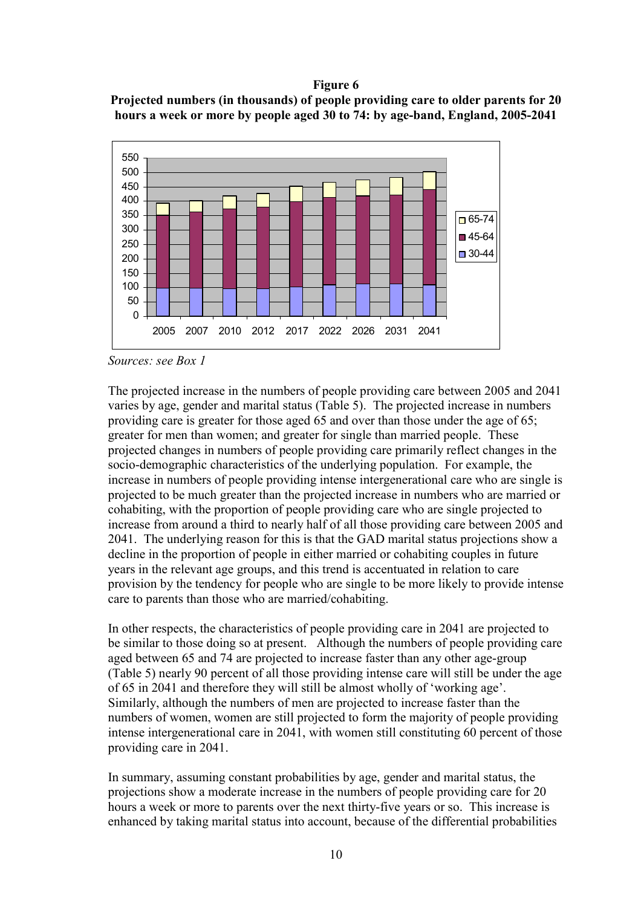### **Figure 6**

**Projected numbers (in thousands) of people providing care to older parents for 20 hours a week or more by people aged 30 to 74: by age-band, England, 2005-2041** 



*Sources: see Box 1* 

The projected increase in the numbers of people providing care between 2005 and 2041 varies by age, gender and marital status (Table 5). The projected increase in numbers providing care is greater for those aged 65 and over than those under the age of 65; greater for men than women; and greater for single than married people. These projected changes in numbers of people providing care primarily reflect changes in the socio-demographic characteristics of the underlying population. For example, the increase in numbers of people providing intense intergenerational care who are single is projected to be much greater than the projected increase in numbers who are married or cohabiting, with the proportion of people providing care who are single projected to increase from around a third to nearly half of all those providing care between 2005 and 2041. The underlying reason for this is that the GAD marital status projections show a decline in the proportion of people in either married or cohabiting couples in future years in the relevant age groups, and this trend is accentuated in relation to care provision by the tendency for people who are single to be more likely to provide intense care to parents than those who are married/cohabiting.

In other respects, the characteristics of people providing care in 2041 are projected to be similar to those doing so at present. Although the numbers of people providing care aged between 65 and 74 are projected to increase faster than any other age-group (Table 5) nearly 90 percent of all those providing intense care will still be under the age of 65 in 2041 and therefore they will still be almost wholly of 'working age'. Similarly, although the numbers of men are projected to increase faster than the numbers of women, women are still projected to form the majority of people providing intense intergenerational care in 2041, with women still constituting 60 percent of those providing care in 2041.

In summary, assuming constant probabilities by age, gender and marital status, the projections show a moderate increase in the numbers of people providing care for 20 hours a week or more to parents over the next thirty-five years or so. This increase is enhanced by taking marital status into account, because of the differential probabilities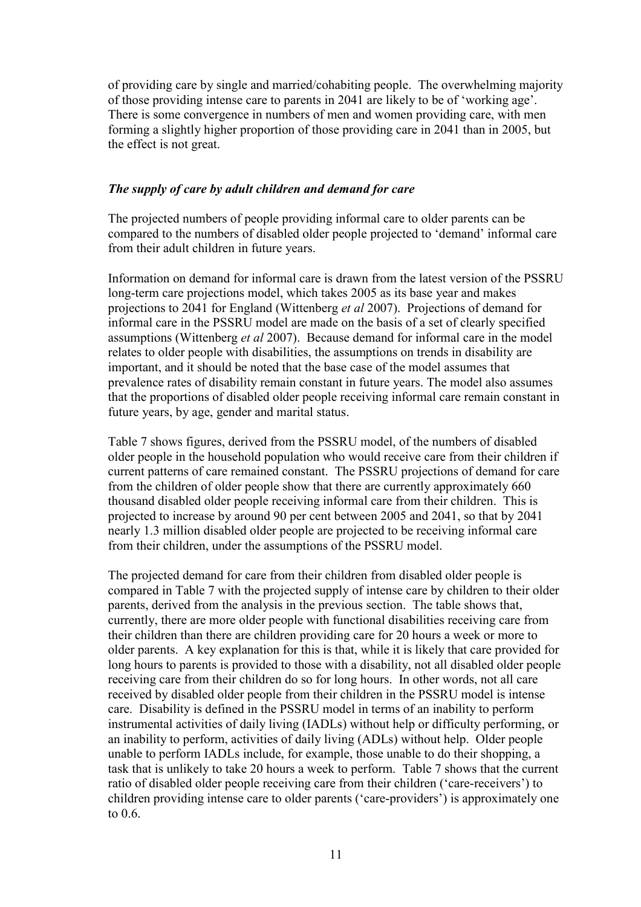of providing care by single and married/cohabiting people. The overwhelming majority of those providing intense care to parents in 2041 are likely to be of 'working age'. There is some convergence in numbers of men and women providing care, with men forming a slightly higher proportion of those providing care in 2041 than in 2005, but the effect is not great.

### *The supply of care by adult children and demand for care*

The projected numbers of people providing informal care to older parents can be compared to the numbers of disabled older people projected to 'demand' informal care from their adult children in future years.

Information on demand for informal care is drawn from the latest version of the PSSRU long-term care projections model, which takes 2005 as its base year and makes projections to 2041 for England (Wittenberg *et al* 2007). Projections of demand for informal care in the PSSRU model are made on the basis of a set of clearly specified assumptions (Wittenberg *et al* 2007). Because demand for informal care in the model relates to older people with disabilities, the assumptions on trends in disability are important, and it should be noted that the base case of the model assumes that prevalence rates of disability remain constant in future years. The model also assumes that the proportions of disabled older people receiving informal care remain constant in future years, by age, gender and marital status.

Table 7 shows figures, derived from the PSSRU model, of the numbers of disabled older people in the household population who would receive care from their children if current patterns of care remained constant. The PSSRU projections of demand for care from the children of older people show that there are currently approximately 660 thousand disabled older people receiving informal care from their children. This is projected to increase by around 90 per cent between 2005 and 2041, so that by 2041 nearly 1.3 million disabled older people are projected to be receiving informal care from their children, under the assumptions of the PSSRU model.

The projected demand for care from their children from disabled older people is compared in Table 7 with the projected supply of intense care by children to their older parents, derived from the analysis in the previous section. The table shows that, currently, there are more older people with functional disabilities receiving care from their children than there are children providing care for 20 hours a week or more to older parents. A key explanation for this is that, while it is likely that care provided for long hours to parents is provided to those with a disability, not all disabled older people receiving care from their children do so for long hours. In other words, not all care received by disabled older people from their children in the PSSRU model is intense care. Disability is defined in the PSSRU model in terms of an inability to perform instrumental activities of daily living (IADLs) without help or difficulty performing, or an inability to perform, activities of daily living (ADLs) without help. Older people unable to perform IADLs include, for example, those unable to do their shopping, a task that is unlikely to take 20 hours a week to perform. Table 7 shows that the current ratio of disabled older people receiving care from their children ('care-receivers') to children providing intense care to older parents ('care-providers') is approximately one to  $0.6$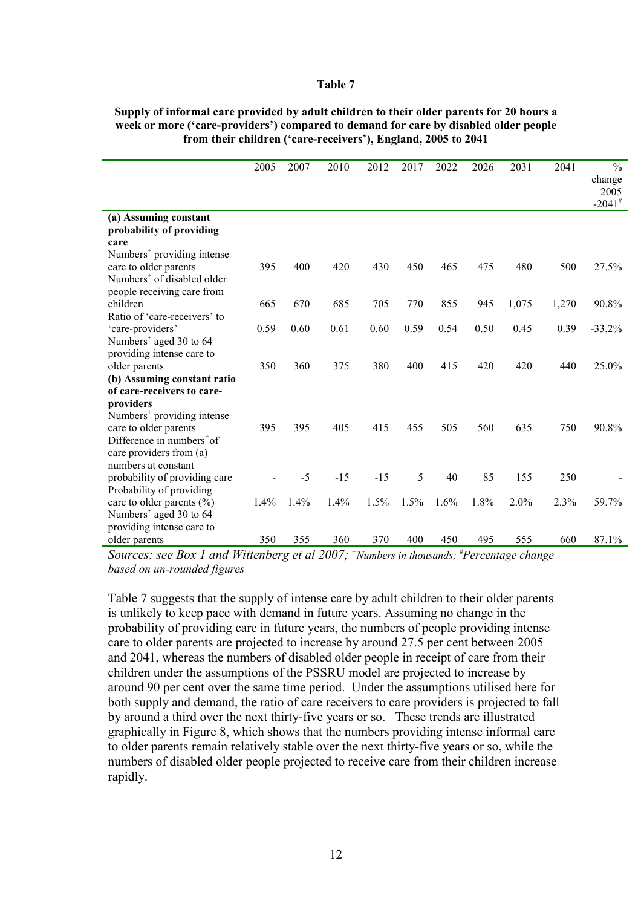### **Table 7**

|                                                                                  | 2005 | 2007 | 2010  | 2012  | 2017 | 2022 | 2026 | 2031  | 2041  | $\frac{0}{0}$        |
|----------------------------------------------------------------------------------|------|------|-------|-------|------|------|------|-------|-------|----------------------|
|                                                                                  |      |      |       |       |      |      |      |       |       | change               |
|                                                                                  |      |      |       |       |      |      |      |       |       | 2005                 |
|                                                                                  |      |      |       |       |      |      |      |       |       | $-2041$ <sup>#</sup> |
| (a) Assuming constant<br>probability of providing                                |      |      |       |       |      |      |      |       |       |                      |
| care                                                                             |      |      |       |       |      |      |      |       |       |                      |
| Numbers <sup>+</sup> providing intense                                           |      |      |       |       |      |      |      |       |       |                      |
| care to older parents                                                            | 395  | 400  | 420   | 430   | 450  | 465  | 475  | 480   | 500   | 27.5%                |
| Numbers <sup>+</sup> of disabled older                                           |      |      |       |       |      |      |      |       |       |                      |
| people receiving care from                                                       |      |      |       |       |      |      |      |       |       |                      |
| children                                                                         | 665  | 670  | 685   | 705   | 770  | 855  | 945  | 1,075 | 1,270 | 90.8%                |
| Ratio of 'care-receivers' to                                                     |      |      |       |       |      |      |      |       |       |                      |
| 'care-providers'                                                                 | 0.59 | 0.60 | 0.61  | 0.60  | 0.59 | 0.54 | 0.50 | 0.45  | 0.39  | $-33.2%$             |
| Numbers <sup>+</sup> aged 30 to 64                                               |      |      |       |       |      |      |      |       |       |                      |
| providing intense care to                                                        |      |      |       |       |      |      |      |       |       |                      |
| older parents                                                                    | 350  | 360  | 375   | 380   | 400  | 415  | 420  | 420   | 440   | 25.0%                |
| (b) Assuming constant ratio                                                      |      |      |       |       |      |      |      |       |       |                      |
| of care-receivers to care-                                                       |      |      |       |       |      |      |      |       |       |                      |
| providers                                                                        |      |      |       |       |      |      |      |       |       |                      |
| Numbers <sup>+</sup> providing intense                                           |      |      |       |       |      |      |      |       |       |                      |
| care to older parents                                                            | 395  | 395  | 405   | 415   | 455  | 505  | 560  | 635   | 750   | 90.8%                |
| Difference in numbers of                                                         |      |      |       |       |      |      |      |       |       |                      |
| care providers from (a)                                                          |      |      |       |       |      |      |      |       |       |                      |
| numbers at constant                                                              |      |      |       |       |      |      |      |       |       |                      |
| probability of providing care                                                    |      | $-5$ | $-15$ | $-15$ | 5    | 40   | 85   | 155   | 250   |                      |
| Probability of providing                                                         |      |      |       |       |      |      |      |       |       |                      |
| care to older parents $(\% )$                                                    | 1.4% | 1.4% | 1.4%  | 1.5%  | 1.5% | 1.6% | 1.8% | 2.0%  | 2.3%  | 59.7%                |
|                                                                                  |      |      |       |       |      |      |      |       |       |                      |
|                                                                                  |      |      |       |       |      |      |      |       |       |                      |
|                                                                                  |      |      |       |       |      |      |      |       |       |                      |
| Numbers <sup>+</sup> aged 30 to 64<br>providing intense care to<br>older parents | 350  | 355  | 360   | 370   | 400  | 450  | 495  | 555   | 660   | 87.1%                |

### **Supply of informal care provided by adult children to their older parents for 20 hours a week or more ('care-providers') compared to demand for care by disabled older people from their children ('care-receivers'), England, 2005 to 2041**

*Sources: see Box 1 and Wittenberg et al 2007; + Numbers in thousands; # Percentage change based on un-rounded figures*

Table 7 suggests that the supply of intense care by adult children to their older parents is unlikely to keep pace with demand in future years. Assuming no change in the probability of providing care in future years, the numbers of people providing intense care to older parents are projected to increase by around 27.5 per cent between 2005 and 2041, whereas the numbers of disabled older people in receipt of care from their children under the assumptions of the PSSRU model are projected to increase by around 90 per cent over the same time period. Under the assumptions utilised here for both supply and demand, the ratio of care receivers to care providers is projected to fall by around a third over the next thirty-five years or so. These trends are illustrated graphically in Figure 8, which shows that the numbers providing intense informal care to older parents remain relatively stable over the next thirty-five years or so, while the numbers of disabled older people projected to receive care from their children increase rapidly.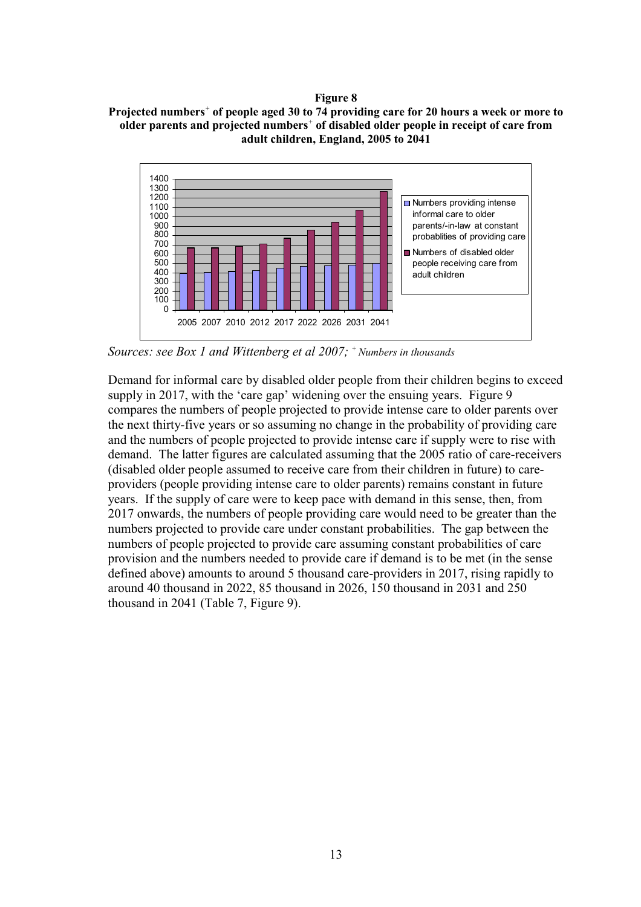### **Figure 8**





*Sources: see Box 1 and Wittenberg et al 2007; + Numbers in thousands*

Demand for informal care by disabled older people from their children begins to exceed supply in 2017, with the 'care gap' widening over the ensuing years. Figure 9 compares the numbers of people projected to provide intense care to older parents over the next thirty-five years or so assuming no change in the probability of providing care and the numbers of people projected to provide intense care if supply were to rise with demand. The latter figures are calculated assuming that the 2005 ratio of care-receivers (disabled older people assumed to receive care from their children in future) to careproviders (people providing intense care to older parents) remains constant in future years. If the supply of care were to keep pace with demand in this sense, then, from 2017 onwards, the numbers of people providing care would need to be greater than the numbers projected to provide care under constant probabilities. The gap between the numbers of people projected to provide care assuming constant probabilities of care provision and the numbers needed to provide care if demand is to be met (in the sense defined above) amounts to around 5 thousand care-providers in 2017, rising rapidly to around 40 thousand in 2022, 85 thousand in 2026, 150 thousand in 2031 and 250 thousand in 2041 (Table 7, Figure 9).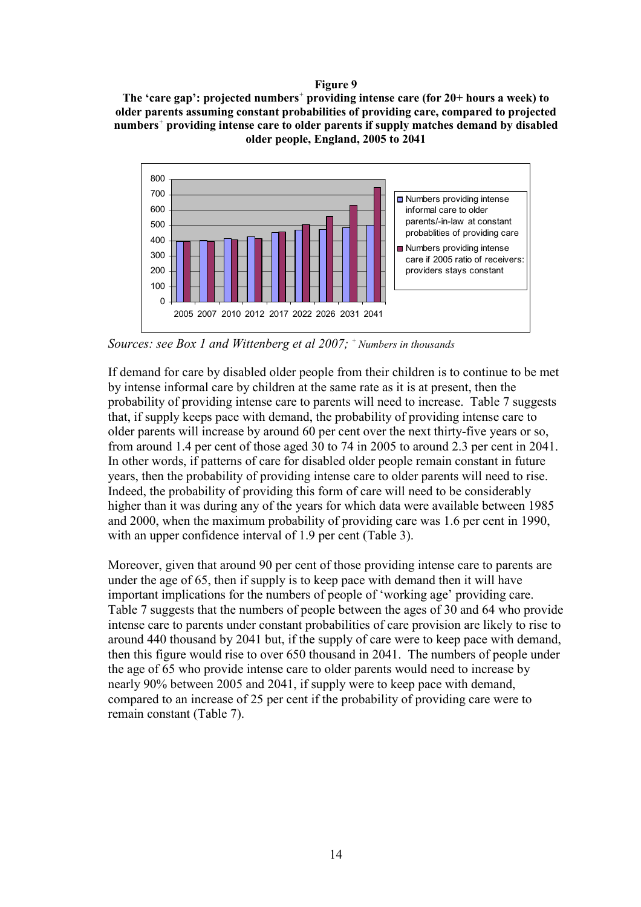### **Figure 9**

**The 'care gap': projected numbers***<sup>+</sup>* **providing intense care (for 20+ hours a week) to older parents assuming constant probabilities of providing care, compared to projected numbers***<sup>+</sup>* **providing intense care to older parents if supply matches demand by disabled older people, England, 2005 to 2041** 



*Sources: see Box 1 and Wittenberg et al 2007; + Numbers in thousands*

If demand for care by disabled older people from their children is to continue to be met by intense informal care by children at the same rate as it is at present, then the probability of providing intense care to parents will need to increase. Table 7 suggests that, if supply keeps pace with demand, the probability of providing intense care to older parents will increase by around 60 per cent over the next thirty-five years or so, from around 1.4 per cent of those aged 30 to 74 in 2005 to around 2.3 per cent in 2041. In other words, if patterns of care for disabled older people remain constant in future years, then the probability of providing intense care to older parents will need to rise. Indeed, the probability of providing this form of care will need to be considerably higher than it was during any of the years for which data were available between 1985 and 2000, when the maximum probability of providing care was 1.6 per cent in 1990, with an upper confidence interval of 1.9 per cent (Table 3).

Moreover, given that around 90 per cent of those providing intense care to parents are under the age of 65, then if supply is to keep pace with demand then it will have important implications for the numbers of people of 'working age' providing care. Table 7 suggests that the numbers of people between the ages of 30 and 64 who provide intense care to parents under constant probabilities of care provision are likely to rise to around 440 thousand by 2041 but, if the supply of care were to keep pace with demand, then this figure would rise to over 650 thousand in 2041. The numbers of people under the age of 65 who provide intense care to older parents would need to increase by nearly 90% between 2005 and 2041, if supply were to keep pace with demand, compared to an increase of 25 per cent if the probability of providing care were to remain constant (Table 7).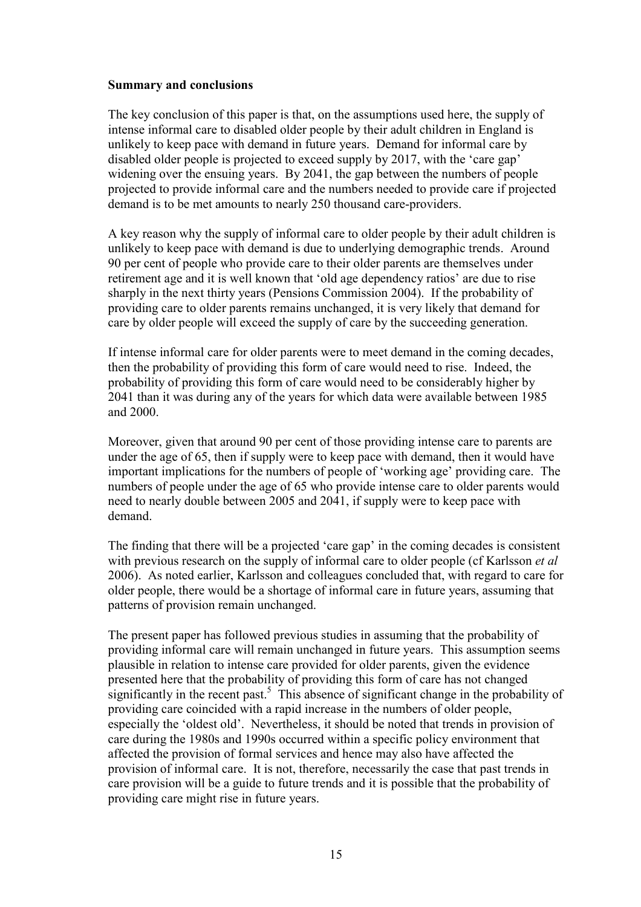### **Summary and conclusions**

The key conclusion of this paper is that, on the assumptions used here, the supply of intense informal care to disabled older people by their adult children in England is unlikely to keep pace with demand in future years. Demand for informal care by disabled older people is projected to exceed supply by 2017, with the 'care gap' widening over the ensuing years. By 2041, the gap between the numbers of people projected to provide informal care and the numbers needed to provide care if projected demand is to be met amounts to nearly 250 thousand care-providers.

A key reason why the supply of informal care to older people by their adult children is unlikely to keep pace with demand is due to underlying demographic trends. Around 90 per cent of people who provide care to their older parents are themselves under retirement age and it is well known that 'old age dependency ratios' are due to rise sharply in the next thirty years (Pensions Commission 2004). If the probability of providing care to older parents remains unchanged, it is very likely that demand for care by older people will exceed the supply of care by the succeeding generation.

If intense informal care for older parents were to meet demand in the coming decades, then the probability of providing this form of care would need to rise. Indeed, the probability of providing this form of care would need to be considerably higher by 2041 than it was during any of the years for which data were available between 1985 and 2000.

Moreover, given that around 90 per cent of those providing intense care to parents are under the age of 65, then if supply were to keep pace with demand, then it would have important implications for the numbers of people of 'working age' providing care. The numbers of people under the age of 65 who provide intense care to older parents would need to nearly double between 2005 and 2041, if supply were to keep pace with demand.

The finding that there will be a projected 'care gap' in the coming decades is consistent with previous research on the supply of informal care to older people (cf Karlsson *et al* 2006). As noted earlier, Karlsson and colleagues concluded that, with regard to care for older people, there would be a shortage of informal care in future years, assuming that patterns of provision remain unchanged.

The present paper has followed previous studies in assuming that the probability of providing informal care will remain unchanged in future years. This assumption seems plausible in relation to intense care provided for older parents, given the evidence presented here that the probability of providing this form of care has not changed significantly in the recent past.<sup>5</sup> This absence of significant change in the probability of providing care coincided with a rapid increase in the numbers of older people, especially the 'oldest old'. Nevertheless, it should be noted that trends in provision of care during the 1980s and 1990s occurred within a specific policy environment that affected the provision of formal services and hence may also have affected the provision of informal care. It is not, therefore, necessarily the case that past trends in care provision will be a guide to future trends and it is possible that the probability of providing care might rise in future years.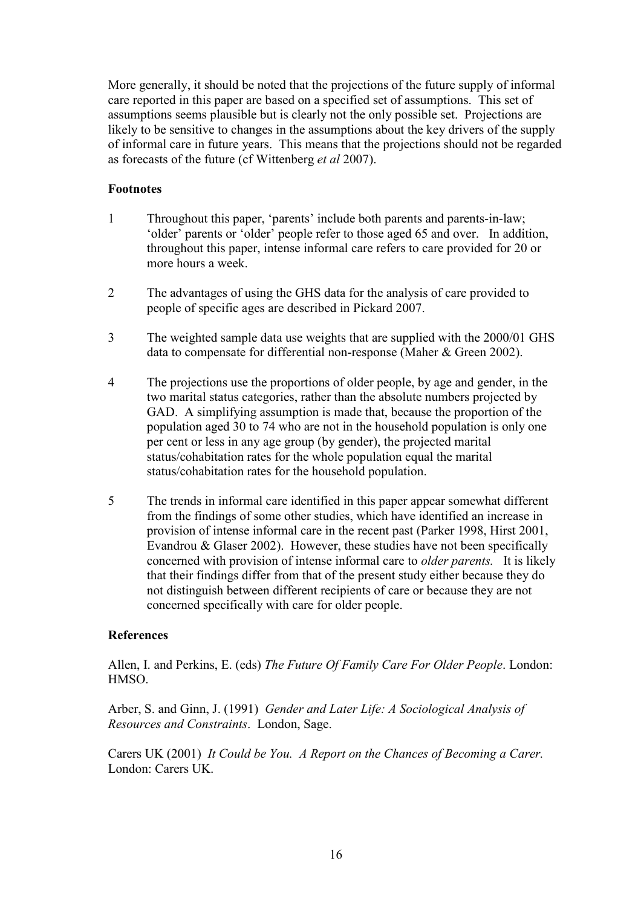More generally, it should be noted that the projections of the future supply of informal care reported in this paper are based on a specified set of assumptions. This set of assumptions seems plausible but is clearly not the only possible set. Projections are likely to be sensitive to changes in the assumptions about the key drivers of the supply of informal care in future years. This means that the projections should not be regarded as forecasts of the future (cf Wittenberg *et al* 2007).

### **Footnotes**

- 1 Throughout this paper, 'parents' include both parents and parents-in-law; 'older' parents or 'older' people refer to those aged 65 and over. In addition, throughout this paper, intense informal care refers to care provided for 20 or more hours a week.
- 2 The advantages of using the GHS data for the analysis of care provided to people of specific ages are described in Pickard 2007.
- 3 The weighted sample data use weights that are supplied with the 2000/01 GHS data to compensate for differential non-response (Maher & Green 2002).
- 4 The projections use the proportions of older people, by age and gender, in the two marital status categories, rather than the absolute numbers projected by GAD. A simplifying assumption is made that, because the proportion of the population aged 30 to 74 who are not in the household population is only one per cent or less in any age group (by gender), the projected marital status/cohabitation rates for the whole population equal the marital status/cohabitation rates for the household population.
- 5 The trends in informal care identified in this paper appear somewhat different from the findings of some other studies, which have identified an increase in provision of intense informal care in the recent past (Parker 1998, Hirst 2001, Evandrou & Glaser 2002). However, these studies have not been specifically concerned with provision of intense informal care to *older parents.* It is likely that their findings differ from that of the present study either because they do not distinguish between different recipients of care or because they are not concerned specifically with care for older people.

### **References**

Allen, I. and Perkins, E. (eds) *The Future Of Family Care For Older People*. London: HMSO.

Arber, S. and Ginn, J. (1991) *Gender and Later Life: A Sociological Analysis of Resources and Constraints*. London, Sage.

Carers UK (2001) *It Could be You. A Report on the Chances of Becoming a Carer.* London: Carers UK.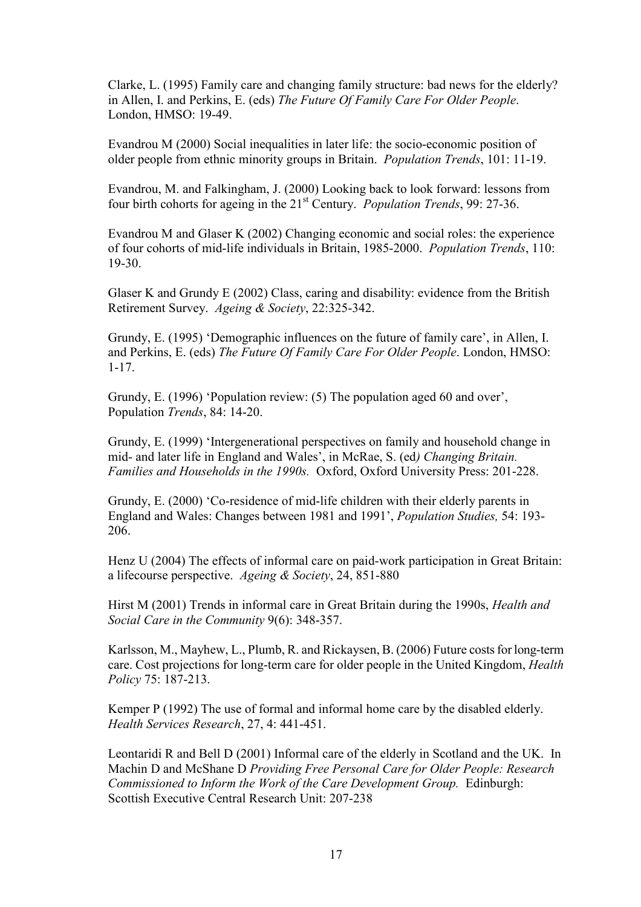Clarke, L. (1995) Family care and changing family structure: bad news for the elderly? in Allen, I. and Perkins, E. (eds) *The Future Of Family Care For Older People*. London, HMSO: 19-49.

Evandrou M (2000) Social inequalities in later life: the socio-economic position of older people from ethnic minority groups in Britain. *Population Trends*, 101: 11-19.

Evandrou, M. and Falkingham, J. (2000) Looking back to look forward: lessons from four birth cohorts for ageing in the 21st Century. *Population Trends*, 99: 27-36.

Evandrou M and Glaser K (2002) Changing economic and social roles: the experience of four cohorts of mid-life individuals in Britain, 1985-2000. *Population Trends*, 110: 19-30.

Glaser K and Grundy E (2002) Class, caring and disability: evidence from the British Retirement Survey. *Ageing & Society*, 22:325-342.

Grundy, E. (1995) 'Demographic influences on the future of family care', in Allen, I. and Perkins, E. (eds) *The Future Of Family Care For Older People*. London, HMSO: 1-17.

Grundy, E. (1996) 'Population review: (5) The population aged 60 and over', Population *Trends*, 84: 14-20.

Grundy, E. (1999) 'Intergenerational perspectives on family and household change in mid- and later life in England and Wales', in McRae, S. (ed*) Changing Britain. Families and Households in the 1990s.* Oxford, Oxford University Press: 201-228.

Grundy, E. (2000) 'Co-residence of mid-life children with their elderly parents in England and Wales: Changes between 1981 and 1991', *Population Studies,* 54: 193- 206.

Henz U (2004) The effects of informal care on paid-work participation in Great Britain: a lifecourse perspective. *Ageing & Society*, 24, 851-880

Hirst M (2001) Trends in informal care in Great Britain during the 1990s, *Health and Social Care in the Community* 9(6): 348-357.

Karlsson, M., Mayhew, L., Plumb, R. and Rickaysen, B. (2006) Future costs for long-term care. Cost projections for long-term care for older people in the United Kingdom, *Health Policy* 75: 187-213.

Kemper P (1992) The use of formal and informal home care by the disabled elderly. *Health Services Research*, 27, 4: 441-451.

Leontaridi R and Bell D (2001) Informal care of the elderly in Scotland and the UK. In Machin D and McShane D *Providing Free Personal Care for Older People: Research Commissioned to Inform the Work of the Care Development Group.* Edinburgh: Scottish Executive Central Research Unit: 207-238